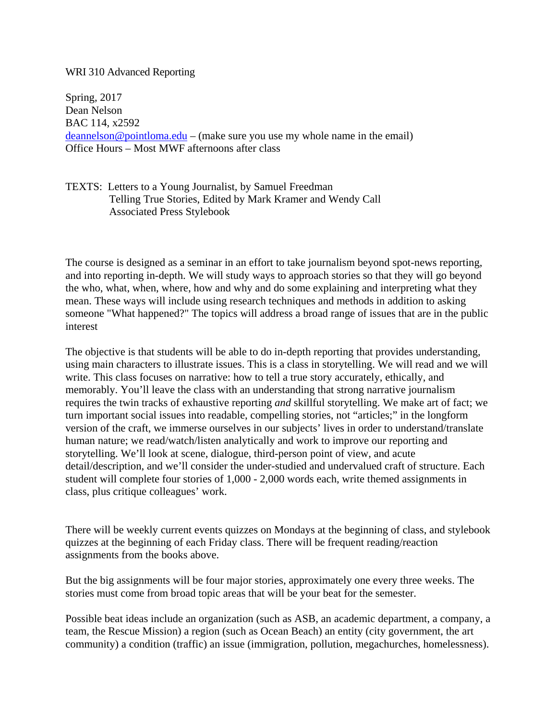## WRI 310 Advanced Reporting

Spring, 2017 Dean Nelson BAC 114, x2592  $deannels on @ pointloma.edu - (make sure you use my whole name in the email)$ Office Hours – Most MWF afternoons after class

TEXTS: Letters to a Young Journalist, by Samuel Freedman Telling True Stories, Edited by Mark Kramer and Wendy Call Associated Press Stylebook

The course is designed as a seminar in an effort to take journalism beyond spot-news reporting, and into reporting in-depth. We will study ways to approach stories so that they will go beyond the who, what, when, where, how and why and do some explaining and interpreting what they mean. These ways will include using research techniques and methods in addition to asking someone "What happened?" The topics will address a broad range of issues that are in the public interest

The objective is that students will be able to do in-depth reporting that provides understanding, using main characters to illustrate issues. This is a class in storytelling. We will read and we will write. This class focuses on narrative: how to tell a true story accurately, ethically, and memorably. You'll leave the class with an understanding that strong narrative journalism requires the twin tracks of exhaustive reporting *and* skillful storytelling. We make art of fact; we turn important social issues into readable, compelling stories, not "articles;" in the longform version of the craft, we immerse ourselves in our subjects' lives in order to understand/translate human nature; we read/watch/listen analytically and work to improve our reporting and storytelling. We'll look at scene, dialogue, third-person point of view, and acute detail/description, and we'll consider the under-studied and undervalued craft of structure. Each student will complete four stories of 1,000 - 2,000 words each, write themed assignments in class, plus critique colleagues' work.

There will be weekly current events quizzes on Mondays at the beginning of class, and stylebook quizzes at the beginning of each Friday class. There will be frequent reading/reaction assignments from the books above.

But the big assignments will be four major stories, approximately one every three weeks. The stories must come from broad topic areas that will be your beat for the semester.

Possible beat ideas include an organization (such as ASB, an academic department, a company, a team, the Rescue Mission) a region (such as Ocean Beach) an entity (city government, the art community) a condition (traffic) an issue (immigration, pollution, megachurches, homelessness).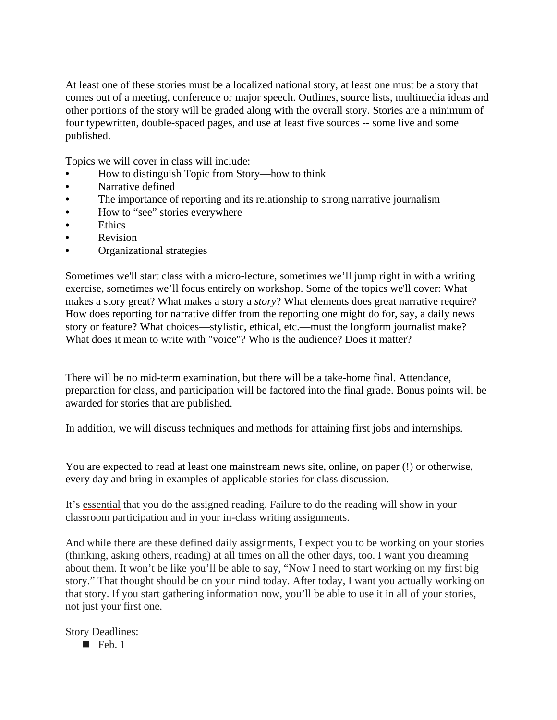At least one of these stories must be a localized national story, at least one must be a story that comes out of a meeting, conference or major speech. Outlines, source lists, multimedia ideas and other portions of the story will be graded along with the overall story. Stories are a minimum of four typewritten, double-spaced pages, and use at least five sources -- some live and some published.

Topics we will cover in class will include:

- How to distinguish Topic from Story—how to think
- Narrative defined
- The importance of reporting and its relationship to strong narrative journalism
- How to "see" stories everywhere
- Ethics
- Revision
- Organizational strategies

Sometimes we'll start class with a micro-lecture, sometimes we'll jump right in with a writing exercise, sometimes we'll focus entirely on workshop. Some of the topics we'll cover: What makes a story great? What makes a story a *story*? What elements does great narrative require? How does reporting for narrative differ from the reporting one might do for, say, a daily news story or feature? What choices—stylistic, ethical, etc.—must the longform journalist make? What does it mean to write with "voice"? Who is the audience? Does it matter?

There will be no mid-term examination, but there will be a take-home final. Attendance, preparation for class, and participation will be factored into the final grade. Bonus points will be awarded for stories that are published.

In addition, we will discuss techniques and methods for attaining first jobs and internships.

You are expected to read at least one mainstream news site, online, on paper (!) or otherwise, every day and bring in examples of applicable stories for class discussion.

It's essential that you do the assigned reading. Failure to do the reading will show in your classroom participation and in your in-class writing assignments.

And while there are these defined daily assignments, I expect you to be working on your stories (thinking, asking others, reading) at all times on all the other days, too. I want you dreaming about them. It won't be like you'll be able to say, "Now I need to start working on my first big story." That thought should be on your mind today. After today, I want you actually working on that story. If you start gathering information now, you'll be able to use it in all of your stories, not just your first one.

Story Deadlines:

 $\blacksquare$  Feb. 1